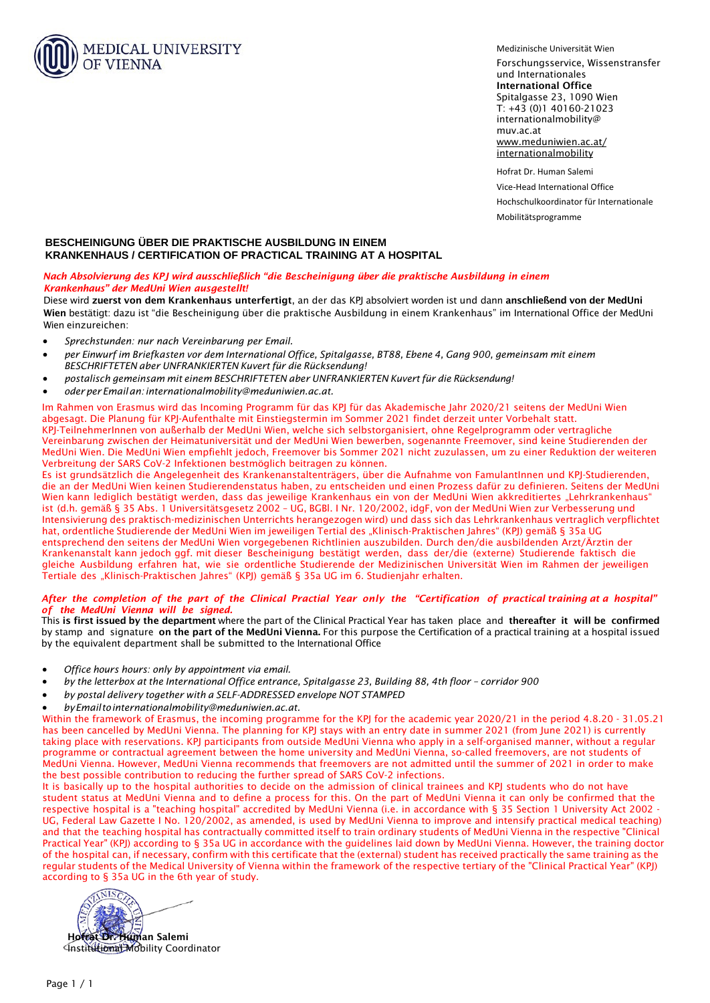

Medizinische Universität Wien

Forschungsservice, Wissenstransfer und Internationales International Office Spitalgasse 23, 1090 Wien T: +43 (0)1 40160-21023 [internationalmobility@](mailto:internationalmobility@muv.ac.at) muv[.ac.at](mailto:xyz@meduniwien.ac.at) [www.meduniwien.ac.at/](www.meduniwien.ac.at/internationalmobility) internationalmobility

Hofrat Dr. Human Salemi Vice-Head International Office Hochschulkoordinator für Internationale Mobilitätsprogramme

## **BESCHEINIGUNG ÜBER DIE PRAKTISCHE AUSBILDUNG IN EINEM KRANKENHAUS / CERTIFICATION OF PRACTICAL TRAINING AT A HOSPITAL**

## *Nach Absolvierung des KPJ wird ausschließlich "die Bescheinigung über die praktische Ausbildung in einem Krankenhaus" der MedUni Wien ausgestellt!*

Diese wird zuerst von dem Krankenhaus unterfertigt, an der das KPJ absolviert worden ist und dann anschließend von der MedUni Wien bestätigt: dazu ist "die Bescheinigung über die praktische Ausbildung in einem Krankenhaus" im International Office der MedUni Wien einzureichen:

- *Sprechstunden: nur nach Vereinbarung per Email.*
- per Einwurf im Briefkasten vor dem International Office. Spitalaasse. BT88. Ebene 4. Gana 900. aemeinsam mit einem *BESCHRIFTETEN aber UNFRANKIERTEN Kuvert für die Rücksendung!*
- *postalisch gemeinsam mit einem BESCHRIFTETEN aber UNFRANKIERTEN Kuvert für die Rücksendung!*
- *oderper Emailan[: internationalmobility@meduniwien.ac.at.](mailto:internationalmobility@meduniwien.ac.at)*

Im Rahmen von Erasmus wird das Incoming Programm für das KPJ für das Akademische Jahr 2020/21 seitens der MedUni Wien abgesagt. Die Planung für KPJ-Aufenthalte mit Einstiegstermin im Sommer 2021 findet derzeit unter Vorbehalt statt. KPJ-TeilnehmerInnen von außerhalb der MedUni Wien, welche sich selbstorganisiert, ohne Regelprogramm oder vertragliche Vereinbarung zwischen der Heimatuniversität und der MedUni Wien bewerben, sogenannte Freemover, sind keine Studierenden der MedUni Wien. Die MedUni Wien empfiehlt jedoch, Freemover bis Sommer 2021 nicht zuzulassen, um zu einer Reduktion der weiteren Verbreitung der SARS CoV-2 Infektionen bestmöglich beitragen zu könne[n.](mailto:internationalmobility@meduniwien.ac.at)

Es ist grundsätzlich die Angelegenheit des Krankenanstaltenträgers, über die Aufnahme von FamulantInnen und KPJ-Studierenden, die an der MedUni Wien keinen Studierendenstatus haben, zu entscheiden und einen Prozess dafür zu definieren. Seitens der MedUni Wien kann lediglich bestätigt werden, dass das jeweilige Krankenhaus ein von der MedUni Wien akkreditiertes "Lehrkrankenhaus" ist (d.h. gemäß § 35 Abs. 1 Universitätsgesetz 2002 – UG, BGBl. I Nr. 120/2002, idgF, von der MedUni Wien zur Verbesserung und Intensivierung des praktisch-medizinischen Unterrichts herangezogen wird) und dass sich das Lehrkrankenhaus vertraglich verpflichtet hat, ordentliche Studierende der MedUni Wien im jeweiligen Tertial des "Klinisch-Praktischen Jahres" (KPJ) gemäß § 35a UG entsprechend den seitens der MedUni Wien vorgegebenen Richtlinien auszubilden. Durch den/die ausbildenden Arzt/Ärztin der Krankenanstalt kann jedoch ggf. mit dieser Bescheinigung bestätigt werden, dass der/die (externe) Studierende faktisch die gleiche Ausbildung erfahren hat, wie sie ordentliche Studierende der Medizinischen Universität Wien im Rahmen der jeweiligen Tertiale des "Klinisch-Praktischen Jahres" (KPJ) gemäß § 35a UG im 6. Studienjahr erhalten.

## *After the completion of the part of [the Clinical Practial Year](mailto:internationalmobility@meduniwien.ac.at) only the "Certification of practical training at a hospital" of the MedUni Vienna will be signed.*

This is first issued by the department where the part of the Clinical Practical Year has taken place and thereafter it will be confirmed by stamp and signature on the part of the MedUni Vienna. For this purpose the Certification of a practical training at a hospital issued by the equivalent department shall be submitted to the International Office

- *Office hours hours: only by appointment via email.*
- *by the letterbox at the International Office entrance, Spitalgasse 23, Building 88, 4th floor corridor 900*
- *by postal [del](mailto:internationalmobility@meduniwien.ac.at)ivery together with [a SELF-ADDRESSED](mailto:nternationalmobility@meduniwien.ac.at) envelope NOT STAMPED*
- *byEmailtointernationalmobility@meduniwien.ac.at.*

Within the framework of Erasmus, the incoming programme for the KPJ for the academic year 2020/21 in the period 4.8.20 - 31.05.21 has been cancelled by MedUni Vienna. The planning for KPJ stays with an entry date in summer 2021 (from June 2021) is currently taking place with reservations. KPJ participants from outside MedUni Vienna who apply in a self-organised manner, without a regular programme or contractual agreement between the home university and MedUni Vienna, so-called freemovers, are not students of MedUni Vienna. However, MedUni Vienna recommends that freemovers are not admitted until the summer of 2021 in order to make the best possible contribution to reducing the further spread of SARS CoV-2 infections.

It is basically up to the hospital authorities to decide on the admission of clinical trainees and KPJ students who do not have student status at MedUni Vienna and to define a process for this. On the part of MedUni Vienna it can only be confirmed that the respective hospital is a "teaching hospital" accredited by MedUni Vienna (i.e. in accordance with § 35 Section 1 University Act 2002 -UG, Federal Law Gazette I No. 120/2002, as amended, is used by MedUni Vienna to improve and intensify practical medical teaching) and that the teaching hospital has contractually committed itself to train ordinary students of MedUni Vienna in the respective "Clinical Practical Year" (KPJ) according to § 35a UG in accordance with the guidelines laid down by MedUni Vienna. However, the training doctor of the hospital can, if necessary, confirm with this certificate that the (external) student has received practically the same training as the regular students of the Medical University of Vienna within the framework of the respective tertiary of the "Clinical Practical Year" (KPJ) according to § 35a UG in the 6th year of study.